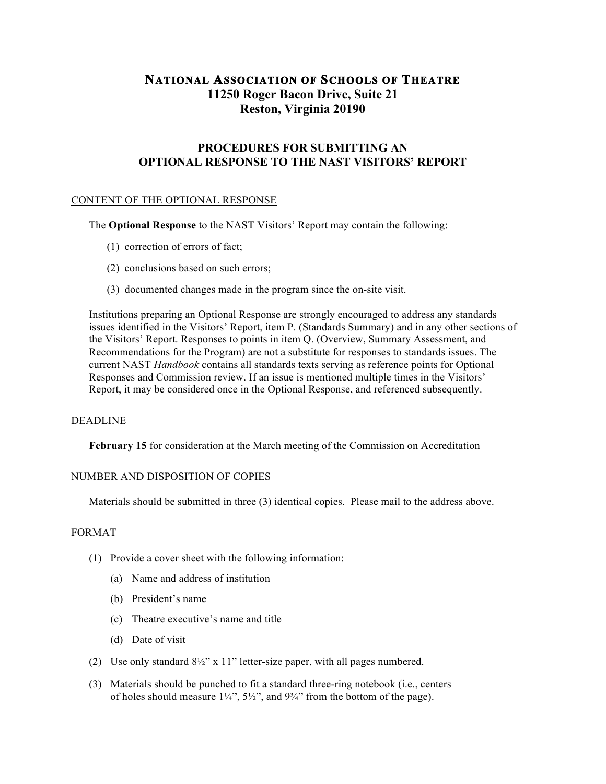# **NATIONAL ASSOCIATION OF SCHOOLS OF THEATRE 11250 Roger Bacon Drive, Suite 21 Reston, Virginia 20190**

## **PROCEDURES FOR SUBMITTING AN OPTIONAL RESPONSE TO THE NAST VISITORS' REPORT**

## CONTENT OF THE OPTIONAL RESPONSE

The **Optional Response** to the NAST Visitors' Report may contain the following:

- (1) correction of errors of fact;
- (2) conclusions based on such errors;
- (3) documented changes made in the program since the on-site visit.

Institutions preparing an Optional Response are strongly encouraged to address any standards issues identified in the Visitors' Report, item P. (Standards Summary) and in any other sections of the Visitors' Report. Responses to points in item Q. (Overview, Summary Assessment, and Recommendations for the Program) are not a substitute for responses to standards issues. The current NAST *Handbook* contains all standards texts serving as reference points for Optional Responses and Commission review. If an issue is mentioned multiple times in the Visitors' Report, it may be considered once in the Optional Response, and referenced subsequently.

#### DEADLINE

**February 15** for consideration at the March meeting of the Commission on Accreditation

## NUMBER AND DISPOSITION OF COPIES

Materials should be submitted in three (3) identical copies. Please mail to the address above.

#### FORMAT

- (1) Provide a cover sheet with the following information:
	- (a) Name and address of institution
	- (b) President's name
	- (c) Theatre executive's name and title
	- (d) Date of visit
- (2) Use only standard 8½" x 11" letter-size paper, with all pages numbered.
- (3) Materials should be punched to fit a standard three-ring notebook (i.e., centers of holes should measure  $1\frac{1}{4}$ ,  $5\frac{1}{2}$ , and  $9\frac{3}{4}$  from the bottom of the page).